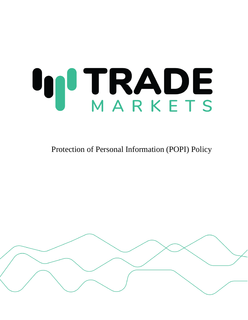# **IN TRADE**

Protection of Personal Information (POPI) Policy

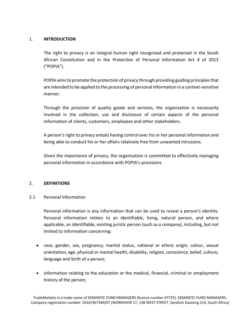## 1. **INTRODUCTION**

The right to privacy is an integral human right recognised and protected in the South African Constitution and in the Protection of Personal Information Act 4 of 2013 ("POPIA").

POPIA aims to promote the protection of privacy through providing guiding principles that are intended to be applied to the processing of personal information in a context-sensitive manner.

Through the provision of quality goods and services, the organisation is necessarily involved in the collection, use and disclosure of certain aspects of the personal information of clients, customers, employees and other stakeholders.

A person's right to privacy entails having control over his or her personal information and being able to conduct his or her affairs relatively free from unwanted intrusions.

Given the importance of privacy, the organisation is committed to effectively managing personal information in accordance with POPIA's provisions.

#### 2. **DEFINITIONS**

#### 2.1 Personal Information

Personal information is any information that can be used to reveal a person's identity. Personal information relates to an identifiable, living, natural person, and where applicable, an identifiable, existing juristic person (such as a company), including, but not limited to information concerning:

- race, gender, sex, pregnancy, marital status, national or ethnic origin, colour, sexual orientation, age, physical or mental health, disability, religion, conscience, belief, culture, language and birth of a person;
- information relating to the education or the medical, financial, criminal or employment history of the person;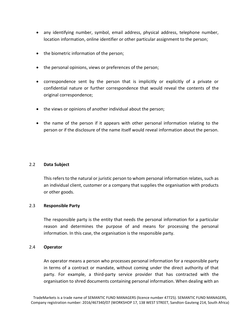- any identifying number, symbol, email address, physical address, telephone number, location information, online identifier or other particular assignment to the person;
- the biometric information of the person;
- the personal opinions, views or preferences of the person;
- correspondence sent by the person that is implicitly or explicitly of a private or confidential nature or further correspondence that would reveal the contents of the original correspondence;
- the views or opinions of another individual about the person;
- the name of the person if it appears with other personal information relating to the person or if the disclosure of the name itself would reveal information about the person.

#### 2.2 **Data Subject**

This refers to the natural or juristic person to whom personal information relates, such as an individual client, customer or a company that supplies the organisation with products or other goods.

#### 2.3 **Responsible Party**

The responsible party is the entity that needs the personal information for a particular reason and determines the purpose of and means for processing the personal information. In this case, the organisation is the responsible party.

#### 2.4 **Operator**

An operator means a person who processes personal information for a responsible party in terms of a contract or mandate, without coming under the direct authority of that party. For example, a third-party service provider that has contracted with the organisation to shred documents containing personal information. When dealing with an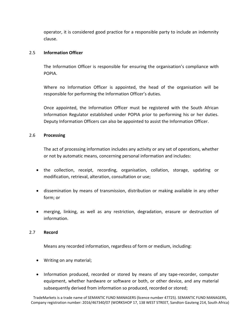operator, it is considered good practice for a responsible party to include an indemnity clause.

#### 2.5 **Information Officer**

The Information Officer is responsible for ensuring the organisation's compliance with POPIA.

Where no Information Officer is appointed, the head of the organisation will be responsible for performing the Information Officer's duties.

Once appointed, the Information Officer must be registered with the South African Information Regulator established under POPIA prior to performing his or her duties. Deputy Information Officers can also be appointed to assist the Information Officer.

#### 2.6 **Processing**

The act of processing information includes any activity or any set of operations, whether or not by automatic means, concerning personal information and includes:

- the collection, receipt, recording, organisation, collation, storage, updating or modification, retrieval, alteration, consultation or use;
- dissemination by means of transmission, distribution or making available in any other form; or
- merging, linking, as well as any restriction, degradation, erasure or destruction of information.

#### 2.7 **Record**

Means any recorded information, regardless of form or medium, including:

- Writing on any material;
- Information produced, recorded or stored by means of any tape-recorder, computer equipment, whether hardware or software or both, or other device, and any material subsequently derived from information so produced, recorded or stored;

TradeMarkets is a trade name of SEMANTIC FUND MANAGERS (licence number 47725). SEMANTIC FUND MANAGERS, Company registration number: 2016/467340/07 (WORKSHOP 17, 138 WEST STREET, Sandton Gauteng 214, South Africa)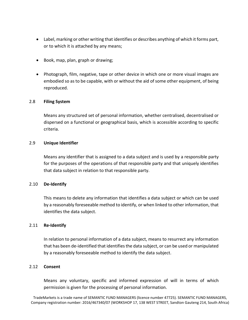- Label, marking or other writing that identifies or describes anything of which it forms part, or to which it is attached by any means;
- Book, map, plan, graph or drawing;
- Photograph, film, negative, tape or other device in which one or more visual images are embodied so as to be capable, with or without the aid of some other equipment, of being reproduced.

## 2.8 **Filing System**

Means any structured set of personal information, whether centralised, decentralised or dispersed on a functional or geographical basis, which is accessible according to specific criteria.

## 2.9 **Unique Identifier**

Means any identifier that is assigned to a data subject and is used by a responsible party for the purposes of the operations of that responsible party and that uniquely identifies that data subject in relation to that responsible party.

#### 2.10 **De-Identify**

This means to delete any information that identifies a data subject or which can be used by a reasonably foreseeable method to identify, or when linked to other information, that identifies the data subject.

#### 2.11 **Re-Identify**

In relation to personal information of a data subject, means to resurrect any information that has been de-identified that identifies the data subject, or can be used or manipulated by a reasonably foreseeable method to identify the data subject.

#### 2.12 **Consent**

Means any voluntary, specific and informed expression of will in terms of which permission is given for the processing of personal information.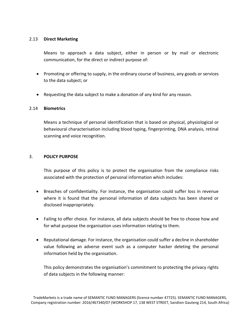## 2.13 **Direct Marketing**

Means to approach a data subject, either in person or by mail or electronic communication, for the direct or indirect purpose of:

- Promoting or offering to supply, in the ordinary course of business, any goods or services to the data subject; or
- Requesting the data subject to make a donation of any kind for any reason.

#### 2.14 **Biometrics**

Means a technique of personal identification that is based on physical, physiological or behavioural characterisation including blood typing, fingerprinting, DNA analysis, retinal scanning and voice recognition.

#### 3. **POLICY PURPOSE**

This purpose of this policy is to protect the organisation from the compliance risks associated with the protection of personal information which includes:

- Breaches of confidentiality. For instance, the organisation could suffer loss in revenue where it is found that the personal information of data subjects has been shared or disclosed inappropriately.
- Failing to offer choice. For instance, all data subjects should be free to choose how and for what purpose the organisation uses information relating to them.
- Reputational damage. For instance, the organisation could suffer a decline in shareholder value following an adverse event such as a computer hacker deleting the personal information held by the organisation.

This policy demonstrates the organisation's commitment to protecting the privacy rights of data subjects in the following manner: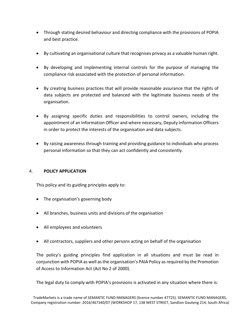- Through stating desired behaviour and directing compliance with the provisions of POPIA and best practice.
- By cultivating an organisational culture that recognises privacy as a valuable human right.
- By developing and implementing internal controls for the purpose of managing the compliance risk associated with the protection of personal information.
- By creating business practices that will provide reasonable assurance that the rights of data subjects are protected and balanced with the legitimate business needs of the organisation.
- By assigning specific duties and responsibilities to control owners, including the appointment of an Information Officer and where necessary, Deputy Information Officers in order to protect the interests of the organisation and data subjects.
- By raising awareness through training and providing guidance to individuals who process personal information so that they can act confidently and consistently.

## 4. **POLICY APPLICATION**

This policy and its guiding principles apply to:

- The organisation's governing body
- All branches, business units and divisions of the organisation
- All employees and volunteers
- All contractors, suppliers and other persons acting on behalf of the organisation

The policy's guiding principles find application in all situations and must be read in conjunction with POPIA as well as the organisation's PAIA Policy as required by the Promotion of Access to Information Act (Act No 2 of 2000).

The legal duty to comply with POPIA's provisions is activated in any situation where there is: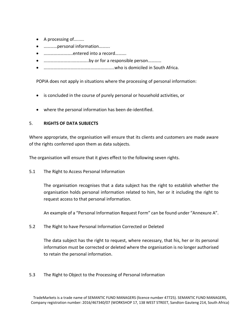- A processing of…..….
- …………personal information……….
- ……………………..entered into a record……….
- ……………………..…………..by or for a responsible person…………
- ………………………………………………….…..who is domiciled in South Africa.

POPIA does not apply in situations where the processing of personal information:

- is concluded in the course of purely personal or household activities, or
- where the personal information has been de-identified.

## 5. **RIGHTS OF DATA SUBJECTS**

Where appropriate, the organisation will ensure that its clients and customers are made aware of the rights conferred upon them as data subjects.

The organisation will ensure that it gives effect to the following seven rights.

5.1 The Right to Access Personal Information

The organisation recognises that a data subject has the right to establish whether the organisation holds personal information related to him, her or it including the right to request access to that personal information.

An example of a "Personal Information Request Form" can be found under "Annexure A".

5.2 The Right to have Personal Information Corrected or Deleted

The data subject has the right to request, where necessary, that his, her or its personal information must be corrected or deleted where the organisation is no longer authorised to retain the personal information.

5.3 The Right to Object to the Processing of Personal Information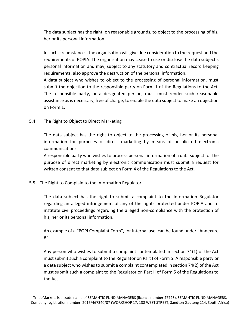The data subject has the right, on reasonable grounds, to object to the processing of his, her or its personal information.

In such circumstances, the organisation will give due consideration to the request and the requirements of POPIA. The organisation may cease to use or disclose the data subject's personal information and may, subject to any statutory and contractual record keeping requirements, also approve the destruction of the personal information.

A data subject who wishes to object to the processing of personal information, must submit the objection to the responsible party on Form 1 of the Regulations to the Act. The responsible party, or a designated person, must must render such reasonable assistance as is necessary, free of charge, to enable the data subject to make an objection on Form 1.

## 5.4 The Right to Object to Direct Marketing

The data subject has the right to object to the processing of his, her or its personal information for purposes of direct marketing by means of unsolicited electronic communications.

A responsible party who wishes to process personal information of a data subject for the purpose of direct marketing by electronic communication must submit a request for written consent to that data subject on Form 4 of the Regulations to the Act.

## 5.5 The Right to Complain to the Information Regulator

The data subject has the right to submit a complaint to the Information Regulator regarding an alleged infringement of any of the rights protected under POPIA and to institute civil proceedings regarding the alleged non-compliance with the protection of his, her or its personal information.

An example of a "POPI Complaint Form", for internal use, can be found under "Annexure  $B''$ .

Any person who wishes to submit a complaint contemplated in section 74(1) of the Act must submit such a complaint to the Regulator on Part I of Form 5. A responsible party or a data subject who wishes to submit a complaint contemplated in section 74(2) of the Act must submit such a complaint to the Regulator on Part II of Form 5 of the Regulations to the Act.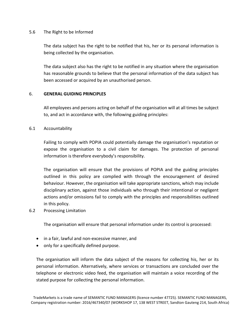### 5.6 The Right to be Informed

The data subject has the right to be notified that his, her or its personal information is being collected by the organisation.

The data subject also has the right to be notified in any situation where the organisation has reasonable grounds to believe that the personal information of the data subject has been accessed or acquired by an unauthorised person.

#### 6. **GENERAL GUIDING PRINCIPLES**

All employees and persons acting on behalf of the organisation will at all times be subject to, and act in accordance with, the following guiding principles:

## 6.1 Accountability

Failing to comply with POPIA could potentially damage the organisation's reputation or expose the organisation to a civil claim for damages. The protection of personal information is therefore everybody's responsibility.

The organisation will ensure that the provisions of POPIA and the guiding principles outlined in this policy are complied with through the encouragement of desired behaviour. However, the organisation will take appropriate sanctions, which may include disciplinary action, against those individuals who through their intentional or negligent actions and/or omissions fail to comply with the principles and responsibilities outlined in this policy.

#### 6.2 Processing Limitation

The organisation will ensure that personal information under its control is processed:

- in a fair, lawful and non-excessive manner, and
- only for a specifically defined purpose.

The organisation will inform the data subject of the reasons for collecting his, her or its personal information. Alternatively, where services or transactions are concluded over the telephone or electronic video feed, the organisation will maintain a voice recording of the stated purpose for collecting the personal information.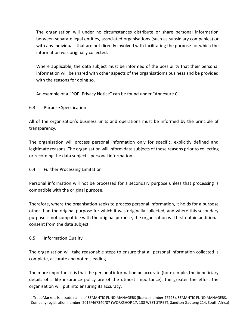The organisation will under no circumstances distribute or share personal information between separate legal entities, associated organisations (such as subsidiary companies) or with any individuals that are not directly involved with facilitating the purpose for which the information was originally collected.

Where applicable, the data subject must be informed of the possibility that their personal information will be shared with other aspects of the organisation's business and be provided with the reasons for doing so.

An example of a "POPI Privacy Notice" can be found under "Annexure C".

# 6.3 Purpose Specification

All of the organisation's business units and operations must be informed by the principle of transparency.

The organisation will process personal information only for specific, explicitly defined and legitimate reasons. The organisation will inform data subjects of these reasons prior to collecting or recording the data subject's personal information.

## 6.4 Further Processing Limitation

Personal information will not be processed for a secondary purpose unless that processing is compatible with the original purpose.

Therefore, where the organisation seeks to process personal information, it holds for a purpose other than the original purpose for which it was originally collected, and where this secondary purpose is not compatible with the original purpose, the organisation will first obtain additional consent from the data subject.

## 6.5 Information Quality

The organisation will take reasonable steps to ensure that all personal information collected is complete, accurate and not misleading.

The more important it is that the personal information be accurate (for example, the beneficiary details of a life insurance policy are of the utmost importance), the greater the effort the organisation will put into ensuring its accuracy.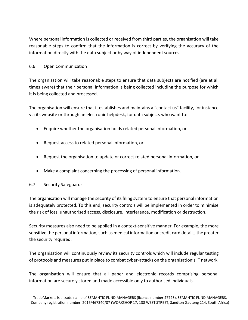Where personal information is collected or received from third parties, the organisation will take reasonable steps to confirm that the information is correct by verifying the accuracy of the information directly with the data subject or by way of independent sources.

## 6.6 Open Communication

The organisation will take reasonable steps to ensure that data subjects are notified (are at all times aware) that their personal information is being collected including the purpose for which it is being collected and processed.

The organisation will ensure that it establishes and maintains a "contact us" facility, for instance via its website or through an electronic helpdesk, for data subjects who want to:

- Enquire whether the organisation holds related personal information, or
- Request access to related personal information, or
- Request the organisation to update or correct related personal information, or
- Make a complaint concerning the processing of personal information.

# 6.7 Security Safeguards

The organisation will manage the security of its filing system to ensure that personal information is adequately protected. To this end, security controls will be implemented in order to minimise the risk of loss, unauthorised access, disclosure, interference, modification or destruction.

Security measures also need to be applied in a context-sensitive manner. For example, the more sensitive the personal information, such as medical information or credit card details, the greater the security required.

The organisation will continuously review its security controls which will include regular testing of protocols and measures put in place to combat cyber-attacks on the organisation's IT network.

The organisation will ensure that all paper and electronic records comprising personal information are securely stored and made accessible only to authorised individuals.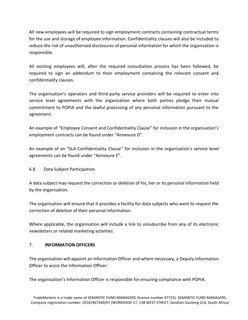All new employees will be required to sign employment contracts containing contractual terms for the use and storage of employee information. Confidentiality clauses will also be included to reduce the risk of unauthorised disclosures of personal information for which the organisation is responsible.

All existing employees will, after the required consultation process has been followed, be required to sign an addendum to their employment containing the relevant consent and confidentiality clauses.

The organisation's operators and third-party service providers will be required to enter into service level agreements with the organisation where both parties pledge their mutual commitment to POPIA and the lawful processing of any personal information pursuant to the agreement.

An example of "Employee Consent and Confidentiality Clause" for inclusion in the organisation's employment contracts can be found under "Annexure D".

An example of an "SLA Confidentiality Clause" for inclusion in the organisation's service level agreements can be found under "Annexure E".

## 6.8 Data Subject Participation

A data subject may request the correction or deletion of his, her or its personal information held by the organisation.

The organisation will ensure that it provides a facility for data subjects who want to request the correction of deletion of their personal information.

Where applicable, the organisation will include a link to unsubscribe from any of its electronic newsletters or related marketing activities.

## 7. **INFORMATION OFFICERS**

The organisation will appoint an Information Officer and where necessary, a Deputy Information Officer to assist the Information Officer.

The organisation's Information Officer is responsible for ensuring compliance with POPIA.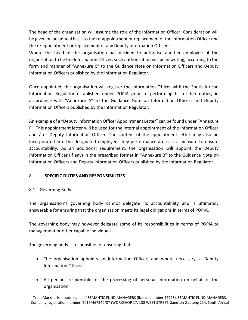The head of the organisation will assume the role of the Information Officer. Consideration will be given on an annual basis to the re-appointment or replacement of the Information Officer and the re-appointment or replacement of any Deputy Information Officers.

Where the head of the organisation has decided to authorise another employee of the organisation to be the Information Officer, such authorisation will be in writing, according to the form and manner of "Annexure C" to the Guidance Note on Information Officers and Deputy Information Officers published by the Information Regulator.

Once appointed, the organisation will register the Information Officer with the South African Information Regulator established under POPIA prior to performing his or her duties, in accordance with "Annexure A" to the Guidance Note on Information Officers and Deputy Information Officers published by the Information Regulator.

An example of a "Deputy Information Officer Appointment Letter" can be found under "Annexure F". This appointment letter will be used for the internal appointment of the Information Officer and / or Deputy Information Officer. The content of the appointment letter may also be incorporated into the designated employee's key performance areas as a measure to ensure accountability. As an additional requirement, the organisation will appoint the Deputy Information Officer (if any) in the prescribed format in "Annexure B" to the Guidance Note on Information Officers and Deputy Information Officers published by the Information Regulator.

# 8. **SPECIFIC DUTIES AND RESPONSIBILITIES**

# 8.1 Governing Body

The organisation's governing body cannot delegate its accountability and is ultimately answerable for ensuring that the organisation meets its legal obligations in terms of POPIA.

The governing body may however delegate some of its responsibilities in terms of POPIA to management or other capable individuals.

The governing body is responsible for ensuring that:

- The organisation appoints an Information Officer, and where necessary, a Deputy Information Officer.
- All persons responsible for the processing of personal information on behalf of the organisation: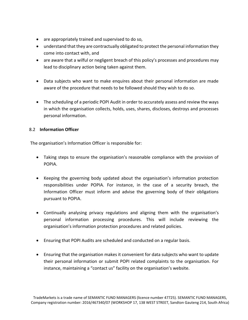- are appropriately trained and supervised to do so,
- understand that they are contractually obligated to protect the personal information they come into contact with, and
- are aware that a wilful or negligent breach of this policy's processes and procedures may lead to disciplinary action being taken against them.
- Data subjects who want to make enquires about their personal information are made aware of the procedure that needs to be followed should they wish to do so.
- The scheduling of a periodic POPI Audit in order to accurately assess and review the ways in which the organisation collects, holds, uses, shares, discloses, destroys and processes personal information.

## 8.2 **Information Officer**

The organisation's Information Officer is responsible for:

- Taking steps to ensure the organisation's reasonable compliance with the provision of POPIA.
- Keeping the governing body updated about the organisation's information protection responsibilities under POPIA. For instance, in the case of a security breach, the Information Officer must inform and advise the governing body of their obligations pursuant to POPIA.
- Continually analysing privacy regulations and aligning them with the organisation's personal information processing procedures. This will include reviewing the organisation's information protection procedures and related policies.
- Ensuring that POPI Audits are scheduled and conducted on a regular basis.
- Ensuring that the organisation makes it convenient for data subjects who want to update their personal information or submit POPI related complaints to the organisation. For instance, maintaining a "contact us" facility on the organisation's website.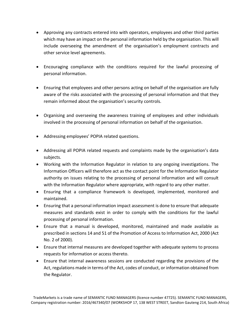- Approving any contracts entered into with operators, employees and other third parties which may have an impact on the personal information held by the organisation. This will include overseeing the amendment of the organisation's employment contracts and other service level agreements.
- Encouraging compliance with the conditions required for the lawful processing of personal information.
- Ensuring that employees and other persons acting on behalf of the organisation are fully aware of the risks associated with the processing of personal information and that they remain informed about the organisation's security controls.
- Organising and overseeing the awareness training of employees and other individuals involved in the processing of personal information on behalf of the organisation.
- Addressing employees' POPIA related questions.
- Addressing all POPIA related requests and complaints made by the organisation's data subjects.
- Working with the Information Regulator in relation to any ongoing investigations. The Information Officers will therefore act as the contact point for the Information Regulator authority on issues relating to the processing of personal information and will consult with the Information Regulator where appropriate, with regard to any other matter.
- Ensuring that a compliance framework is developed, implemented, monitored and maintained.
- Ensuring that a personal information impact assessment is done to ensure that adequate measures and standards exist in order to comply with the conditions for the lawful processing of personal information.
- Ensure that a manual is developed, monitored, maintained and made available as prescribed in sections 14 and 51 of the Promotion of Access to Information Act, 2000 (Act No. 2 of 2000).
- Ensure that internal measures are developed together with adequate systems to process requests for information or access thereto.
- Ensure that internal awareness sessions are conducted regarding the provisions of the Act, regulations made in terms of the Act, codes of conduct, or information obtained from the Regulator.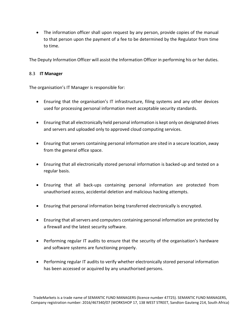• The information officer shall upon request by any person, provide copies of the manual to that person upon the payment of a fee to be determined by the Regulator from time to time.

The Deputy Information Officer will assist the Information Officer in performing his or her duties.

## 8.3 **IT Manager**

The organisation's IT Manager is responsible for:

- Ensuring that the organisation's IT infrastructure, filing systems and any other devices used for processing personal information meet acceptable security standards.
- Ensuring that all electronically held personal information is kept only on designated drives and servers and uploaded only to approved cloud computing services.
- Ensuring that servers containing personal information are sited in a secure location, away from the general office space.
- Ensuring that all electronically stored personal information is backed-up and tested on a regular basis.
- Ensuring that all back-ups containing personal information are protected from unauthorised access, accidental deletion and malicious hacking attempts.
- Ensuring that personal information being transferred electronically is encrypted.
- Ensuring that all servers and computers containing personal information are protected by a firewall and the latest security software.
- Performing regular IT audits to ensure that the security of the organisation's hardware and software systems are functioning properly.
- Performing regular IT audits to verify whether electronically stored personal information has been accessed or acquired by any unauthorised persons.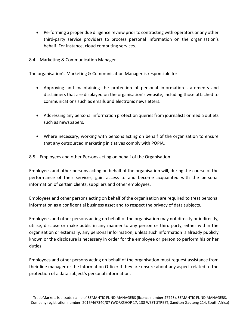- Performing a proper due diligence review prior to contracting with operators or any other third-party service providers to process personal information on the organisation's behalf. For instance, cloud computing services.
- 8.4 Marketing & Communication Manager

The organisation's Marketing & Communication Manager is responsible for:

- Approving and maintaining the protection of personal information statements and disclaimers that are displayed on the organisation's website, including those attached to communications such as emails and electronic newsletters.
- Addressing any personal information protection queries from journalists or media outlets such as newspapers.
- Where necessary, working with persons acting on behalf of the organisation to ensure that any outsourced marketing initiatives comply with POPIA.
- 8.5 Employees and other Persons acting on behalf of the Organisation

Employees and other persons acting on behalf of the organisation will, during the course of the performance of their services, gain access to and become acquainted with the personal information of certain clients, suppliers and other employees.

Employees and other persons acting on behalf of the organisation are required to treat personal information as a confidential business asset and to respect the privacy of data subjects.

Employees and other persons acting on behalf of the organisation may not directly or indirectly, utilise, disclose or make public in any manner to any person or third party, either within the organisation or externally, any personal information, unless such information is already publicly known or the disclosure is necessary in order for the employee or person to perform his or her duties.

Employees and other persons acting on behalf of the organisation must request assistance from their line manager or the Information Officer if they are unsure about any aspect related to the protection of a data subject's personal information.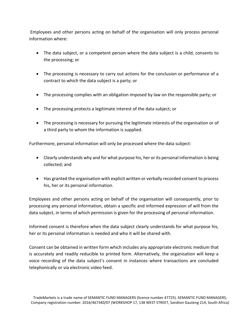Employees and other persons acting on behalf of the organisation will only process personal information where:

- The data subject, or a competent person where the data subject is a child, consents to the processing; or
- The processing is necessary to carry out actions for the conclusion or performance of a contract to which the data subject is a party; or
- The processing complies with an obligation imposed by law on the responsible party; or
- The processing protects a legitimate interest of the data subject; or
- The processing is necessary for pursuing the legitimate interests of the organisation or of a third party to whom the information is supplied.

Furthermore, personal information will only be processed where the data subject:

- Clearly understands why and for what purpose his, her or its personal information is being collected; and
- Has granted the organisation with explicit written or verbally recorded consent to process his, her or its personal information.

Employees and other persons acting on behalf of the organisation will consequently, prior to processing any personal information, obtain a specific and informed expression of will from the data subject, in terms of which permission is given for the processing of personal information.

Informed consent is therefore when the data subject clearly understands for what purpose his, her or its personal information is needed and who it will be shared with.

Consent can be obtained in written form which includes any appropriate electronic medium that is accurately and readily reducible to printed form. Alternatively, the organisation will keep a voice recording of the data subject's consent in instances where transactions are concluded telephonically or via electronic video feed.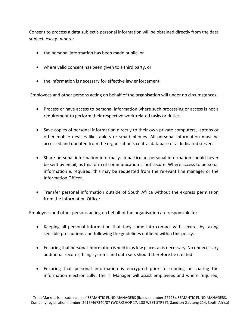Consent to process a data subject's personal information will be obtained directly from the data subject, except where:

- the personal information has been made public, or
- where valid consent has been given to a third party, or
- the information is necessary for effective law enforcement.

Employees and other persons acting on behalf of the organisation will under no circumstances:

- Process or have access to personal information where such processing or access is not a requirement to perform their respective work-related tasks or duties.
- Save copies of personal information directly to their own private computers, laptops or other mobile devices like tablets or smart phones. All personal information must be accessed and updated from the organisation's central database or a dedicated server.
- Share personal information informally. In particular, personal information should never be sent by email, as this form of communication is not secure. Where access to personal information is required, this may be requested from the relevant line manager or the Information Officer.
- Transfer personal information outside of South Africa without the express permission from the Information Officer.

Employees and other persons acting on behalf of the organisation are responsible for:

- Keeping all personal information that they come into contact with secure, by taking sensible precautions and following the guidelines outlined within this policy.
- Ensuring that personal information is held in as few places as is necessary. No unnecessary additional records, filing systems and data sets should therefore be created.
- Ensuring that personal information is encrypted prior to sending or sharing the information electronically. The IT Manager will assist employees and where required,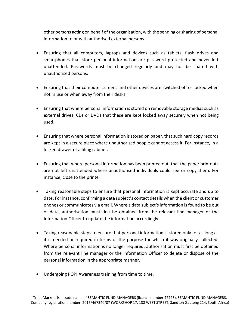other persons acting on behalf of the organisation, with the sending or sharing of personal information to or with authorised external persons.

- Ensuring that all computers, laptops and devices such as tablets, flash drives and smartphones that store personal information are password protected and never left unattended. Passwords must be changed regularly and may not be shared with unauthorised persons.
- Ensuring that their computer screens and other devices are switched off or locked when not in use or when away from their desks.
- Ensuring that where personal information is stored on removable storage medias such as external drives, CDs or DVDs that these are kept locked away securely when not being used.
- Ensuring that where personal information is stored on paper, that such hard copy records are kept in a secure place where unauthorised people cannot access it. For instance, in a locked drawer of a filing cabinet.
- Ensuring that where personal information has been printed out, that the paper printouts are not left unattended where unauthorised individuals could see or copy them. For instance, close to the printer.
- Taking reasonable steps to ensure that personal information is kept accurate and up to date. For instance, confirming a data subject's contact details when the client or customer phones or communicates via email. Where a data subject's information is found to be out of date, authorisation must first be obtained from the relevant line manager or the Information Officer to update the information accordingly.
- Taking reasonable steps to ensure that personal information is stored only for as long as it is needed or required in terms of the purpose for which it was originally collected. Where personal information is no longer required, authorisation must first be obtained from the relevant line manager or the Information Officer to delete or dispose of the personal information in the appropriate manner.
- Undergoing POPI Awareness training from time to time.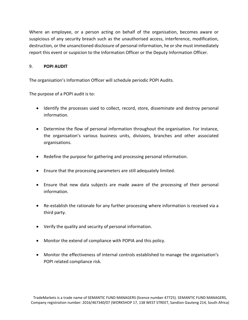Where an employee, or a person acting on behalf of the organisation, becomes aware or suspicious of any security breach such as the unauthorised access, interference, modification, destruction, or the unsanctioned disclosure of personal information, he or she must immediately report this event or suspicion to the Information Officer or the Deputy Information Officer.

## 9. **POPI AUDIT**

The organisation's Information Officer will schedule periodic POPI Audits.

The purpose of a POPI audit is to:

- Identify the processes used to collect, record, store, disseminate and destroy personal information.
- Determine the flow of personal information throughout the organisation. For instance, the organisation's various business units, divisions, branches and other associated organisations.
- Redefine the purpose for gathering and processing personal information.
- Ensure that the processing parameters are still adequately limited.
- Ensure that new data subjects are made aware of the processing of their personal information.
- Re-establish the rationale for any further processing where information is received via a third party.
- Verify the quality and security of personal information.
- Monitor the extend of compliance with POPIA and this policy.
- Monitor the effectiveness of internal controls established to manage the organisation's POPI related compliance risk.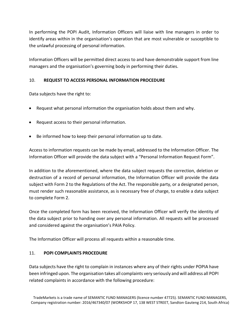In performing the POPI Audit, Information Officers will liaise with line managers in order to identify areas within in the organisation's operation that are most vulnerable or susceptible to the unlawful processing of personal information.

Information Officers will be permitted direct access to and have demonstrable support from line managers and the organisation's governing body in performing their duties.

## 10. **REQUEST TO ACCESS PERSONAL INFORMATION PROCEDURE**

Data subjects have the right to:

- Request what personal information the organisation holds about them and why.
- Request access to their personal information.
- Be informed how to keep their personal information up to date.

Access to information requests can be made by email, addressed to the Information Officer. The Information Officer will provide the data subject with a "Personal Information Request Form".

In addition to the aforementioned, where the data subject requests the correction, deletion or destruction of a record of personal information, the Information Officer will provide the data subject with Form 2 to the Regulations of the Act. The responsible party, or a designated person, must render such reasonable assistance, as is necessary free of charge, to enable a data subject to complete Form 2.

Once the completed form has been received, the Information Officer will verify the identity of the data subject prior to handing over any personal information. All requests will be processed and considered against the organisation's PAIA Policy.

The Information Officer will process all requests within a reasonable time.

## 11. **POPI COMPLAINTS PROCEDURE**

Data subjects have the right to complain in instances where any of their rights under POPIA have been infringed upon. The organisation takes all complaints very seriously and will address all POPI related complaints in accordance with the following procedure: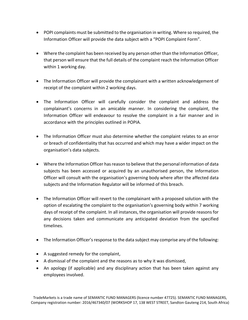- POPI complaints must be submitted to the organisation in writing. Where so required, the Information Officer will provide the data subject with a "POPI Complaint Form".
- Where the complaint has been received by any person other than the Information Officer, that person will ensure that the full details of the complaint reach the Information Officer within 1 working day.
- The Information Officer will provide the complainant with a written acknowledgement of receipt of the complaint within 2 working days.
- The Information Officer will carefully consider the complaint and address the complainant's concerns in an amicable manner. In considering the complaint, the Information Officer will endeavour to resolve the complaint in a fair manner and in accordance with the principles outlined in POPIA.
- The Information Officer must also determine whether the complaint relates to an error or breach of confidentiality that has occurred and which may have a wider impact on the organisation's data subjects.
- Where the Information Officer has reason to believe that the personal information of data subjects has been accessed or acquired by an unauthorised person, the Information Officer will consult with the organisation's governing body where after the affected data subjects and the Information Regulator will be informed of this breach.
- The Information Officer will revert to the complainant with a proposed solution with the option of escalating the complaint to the organisation's governing body within 7 working days of receipt of the complaint. In all instances, the organisation will provide reasons for any decisions taken and communicate any anticipated deviation from the specified timelines.
- The Information Officer's response to the data subject may comprise any of the following:
- A suggested remedy for the complaint,
- A dismissal of the complaint and the reasons as to why it was dismissed,
- An apology (if applicable) and any disciplinary action that has been taken against any employees involved.